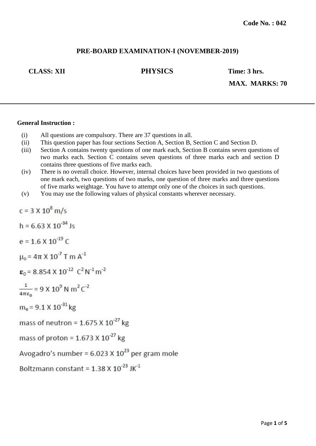## **PRE-BOARD EXAMINATION-I (NOVEMBER-2019)**

**CLASS: XII PHYSICS Time: 3 hrs.**

**MAX. MARKS: 70**

#### **General Instruction :**

- (i) All questions are compulsory. There are 37 questions in all.
- (ii) This question paper has four sections Section A, Section B, Section C and Section D.
- (iii) Section A contains twenty questions of one mark each, Section B contains seven questions of two marks each. Section C contains seven questions of three marks each and section D contains three questions of five marks each.
- (iv) There is no overall choice. However, internal choices have been provided in two questions of one mark each, two questions of two marks, one question of three marks and three questions of five marks weightage. You have to attempt only one of the choices in such questions.
- (v) You may use the following values of physical constants wherever necessary.

```
c = 3 \times 10^8 m/s
h = 6.63 \times 10^{-34} Is
e = 1.6 \times 10^{-19} C
```
 $\mu_0$  = 4 $\pi$  X 10<sup>-7</sup> T m A<sup>-1</sup>

 $\epsilon_0$  = 8.854 X 10<sup>-12</sup>  $C^2 N^{-1} m^{-2}$ 

$$
\frac{1}{4\pi\epsilon_0} = 9 \times 10^9 \text{ N m}^2 \text{ C}^{-2}
$$

 $m_e$  = 9.1 X 10<sup>-31</sup> kg

mass of neutron =  $1.675 \times 10^{-27}$  kg

mass of proton =  $1.673 \times 10^{-27}$  kg

Avogadro's number =  $6.023 \times 10^{23}$  per gram mole

Boltzmann constant =  $1.38 \times 10^{-23}$  JK<sup>-1</sup>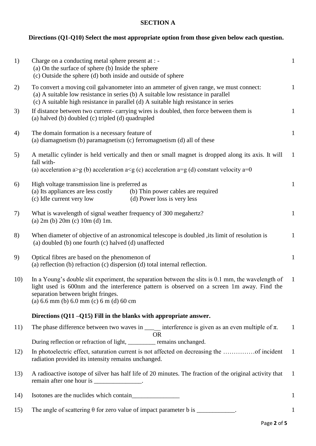# **SECTION A**

# **Directions (Q1-Q10) Select the most appropriate option from those given below each question.**

| 1)  | Charge on a conducting metal sphere present at : -<br>(a) On the surface of sphere (b) Inside the sphere<br>(c) Outside the sphere (d) both inside and outside of sphere                                                                                                                  | $\mathbf{1}$ |
|-----|-------------------------------------------------------------------------------------------------------------------------------------------------------------------------------------------------------------------------------------------------------------------------------------------|--------------|
| 2)  | To convert a moving coil galvanometer into an ammeter of given range, we must connect:<br>(a) A suitable low resistance in series (b) A suitable low resistance in parallel<br>(c) A suitable high resistance in parallel (d) A suitable high resistance in series                        | $\mathbf{1}$ |
| 3)  | If distance between two current-carrying wires is doubled, then force between them is<br>(a) halved (b) doubled (c) tripled (d) quadrupled                                                                                                                                                | $\mathbf{1}$ |
| 4)  | The domain formation is a necessary feature of<br>(a) diamagnetism (b) paramagnetism (c) ferromagnetism (d) all of these                                                                                                                                                                  | $\mathbf{1}$ |
| 5)  | A metallic cylinder is held vertically and then or small magnet is dropped along its axis. It will<br>fall with-<br>(a) acceleration a>g (b) acceleration a <g (c)="" (d)="" a="0&lt;/td" acceleration="" constant="" velocity=""><td><math>\mathbf{1}</math></td></g>                    | $\mathbf{1}$ |
| 6)  | High voltage transmission line is preferred as<br>(a) Its appliances are less costly<br>(b) Thin power cables are required<br>(d) Power loss is very less<br>(c) Idle current very low                                                                                                    | $\mathbf{1}$ |
| 7)  | What is wavelength of signal weather frequency of 300 megahertz?<br>(a) $2m$ (b) $20m$ (c) $10m$ (d) $1m$ .                                                                                                                                                                               | $\mathbf{1}$ |
| 8)  | When diameter of objective of an astronomical telescope is doubled, its limit of resolution is<br>(a) doubled (b) one fourth (c) halved (d) unaffected                                                                                                                                    | $\mathbf{1}$ |
| 9)  | Optical fibres are based on the phenomenon of<br>(a) reflection (b) refraction (c) dispersion (d) total internal reflection.                                                                                                                                                              | $\mathbf{1}$ |
| 10) | In a Young's double slit experiment, the separation between the slits is 0.1 mm, the wavelength of<br>light used is 600nm and the interference pattern is observed on a screen 1m away. Find the<br>separation between bright fringes.<br>(a) $6.6$ mm (b) $6.0$ mm (c) $6$ m (d) $60$ cm | $\mathbf{1}$ |
|     | Directions (Q11-Q15) Fill in the blanks with appropriate answer.                                                                                                                                                                                                                          |              |
| 11) | The phase difference between two waves in $\frac{ }{ }$ interference is given as an even multiple of $\pi$ .<br><b>OR</b>                                                                                                                                                                 | $\mathbf{1}$ |
|     | During reflection or refraction of light, _________ remains unchanged.                                                                                                                                                                                                                    |              |
| 12) | radiation provided its intensity remains unchanged.                                                                                                                                                                                                                                       | $\mathbf{1}$ |
| 13) | A radioactive isotope of silver has half life of 20 minutes. The fraction of the original activity that<br>remain after one hour is ________________.                                                                                                                                     | $\mathbf{1}$ |
| 14) |                                                                                                                                                                                                                                                                                           | $\mathbf{1}$ |
| 15) | The angle of scattering $\theta$ for zero value of impact parameter b is ___________.                                                                                                                                                                                                     |              |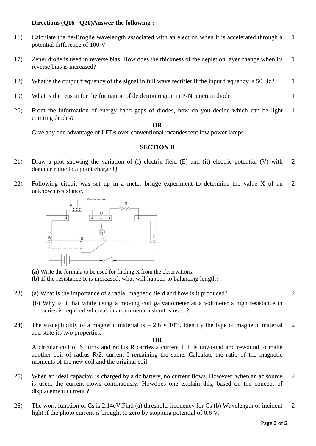#### **Directions (Q16 –Q20)Answer the following :**

- 16) Calculate the de-Broglie wavelength associated with an electron when it is accelerated through a potential difference of 100 V 1
- 17) Zener diode is used in reverse bias. How does the thickness of the depletion layer change when its reverse bias is increased? 1
- 18) What is the output frequency of the signal in full wave rectifier if the input frequency is 50 Hz? 1
- 19) What is the reason for the formation of depletion region in P-N junction diode 1
- 20) From the information of energy band gaps of diodes, how do you decide which can be light emitting diodes? 1

### **OR**

Give any one advantage of LEDs over conventional incandescent low power lamps

#### **SECTION B**

- 21) Draw a plot showing the variation of (i) electric field (E) and (ii) electric potential (V) with distance r due to a point charge Q. 2
- 22) Following circuit was set up in a meter bridge experiment to determine the value X of an unknown resistance. 2



**(a)** Write the formula to be used for finding X from the observations.

**(b)** If the resistance R is increased, what will happen to balancing length?

- 23) (a) What is the importance of a radial magnetic field and how is it produced?
	- (b) Why is it that while using a moving coil galvanometer as a voltmeter a high resistance in series is required whereas in an ammeter a shunt is used?
- 24) The susceptibility of a magnetic material is  $-2.6 \times 10^{-5}$ . Identify the type of magnetic material and state its two properties. 2

#### **OR**

A circular coil of N turns and radius R carries a current I. It is unwound and rewound to make another coil of radius R/2, current I remaining the same. Calculate the ratio of the magnetic moments of the new coil and the original coil.

- 25) When an ideal capacitor is charged by a dc battery, no current flows. However, when an ac source is used, the current flows continuously. Howdoes one explain this, based on the concept of displacement current ? 2
- 26) The work function of Cs is 2.14eV.Find (a) threshold frequency for Cs (b) Wavelength of incident light if the photo current is brought to zero by stopping potential of 0.6 V. 2

2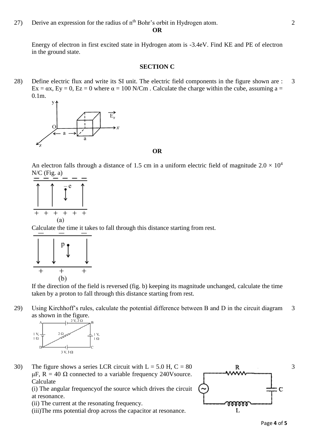**OR**

Energy of electron in first excited state in Hydrogen atom is -3.4eV. Find KE and PE of electron in the ground state.

#### **SECTION C**

28) Define electric flux and write its SI unit. The electric field components in the figure shown are :  $Ex = \alpha x$ ,  $Ey = 0$ ,  $Ez = 0$  where  $\alpha = 100$  N/Cm. Calculate the charge within the cube, assuming a = 0.1m. 3



**OR**

An electron falls through a distance of 1.5 cm in a uniform electric field of magnitude  $2.0 \times 10^4$ N/C (Fig. a)



Calculate the time it takes to fall through this distance starting from rest.



If the direction of the field is reversed (fig. b) keeping its magnitude unchanged, calculate the time taken by a proton to fall through this distance starting from rest.

29) Using Kirchhoff's rules, calculate the potential difference between B and D in the circuit diagram as shown in the figure. 3



30) The figure shows a series LCR circuit with  $L = 5.0$  H,  $C = 80$ μF,  $R = 40$  Ω connected to a variable frequency 240V source. Calculate

(i) The angular frequencyof the source which drives the circuit at resonance.

- (ii) The current at the resonating frequency.
- (iii)The rms potential drop across the capacitor at resonance.



3